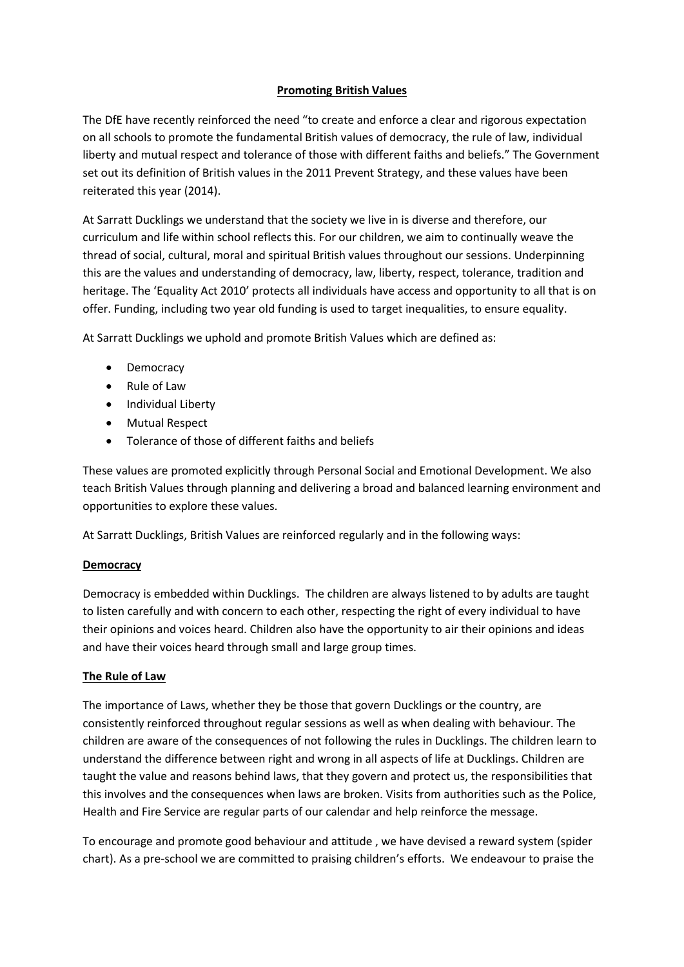# **Promoting British Values**

The DfE have recently reinforced the need "to create and enforce a clear and rigorous expectation on all schools to promote the fundamental British values of democracy, the rule of law, individual liberty and mutual respect and tolerance of those with different faiths and beliefs." The Government set out its definition of British values in the 2011 Prevent Strategy, and these values have been reiterated this year (2014).

At Sarratt Ducklings we understand that the society we live in is diverse and therefore, our curriculum and life within school reflects this. For our children, we aim to continually weave the thread of social, cultural, moral and spiritual British values throughout our sessions. Underpinning this are the values and understanding of democracy, law, liberty, respect, tolerance, tradition and heritage. The 'Equality Act 2010' protects all individuals have access and opportunity to all that is on offer. Funding, including two year old funding is used to target inequalities, to ensure equality.

At Sarratt Ducklings we uphold and promote British Values which are defined as:

- Democracy
- Rule of Law
- Individual Liberty
- Mutual Respect
- Tolerance of those of different faiths and beliefs

These values are promoted explicitly through Personal Social and Emotional Development. We also teach British Values through planning and delivering a broad and balanced learning environment and opportunities to explore these values.

At Sarratt Ducklings, British Values are reinforced regularly and in the following ways:

# **Democracy**

Democracy is embedded within Ducklings. The children are always listened to by adults are taught to listen carefully and with concern to each other, respecting the right of every individual to have their opinions and voices heard. Children also have the opportunity to air their opinions and ideas and have their voices heard through small and large group times.

# **The Rule of Law**

The importance of Laws, whether they be those that govern Ducklings or the country, are consistently reinforced throughout regular sessions as well as when dealing with behaviour. The children are aware of the consequences of not following the rules in Ducklings. The children learn to understand the difference between right and wrong in all aspects of life at Ducklings. Children are taught the value and reasons behind laws, that they govern and protect us, the responsibilities that this involves and the consequences when laws are broken. Visits from authorities such as the Police, Health and Fire Service are regular parts of our calendar and help reinforce the message.

To encourage and promote good behaviour and attitude , we have devised a reward system (spider chart). As a pre-school we are committed to praising children's efforts. We endeavour to praise the